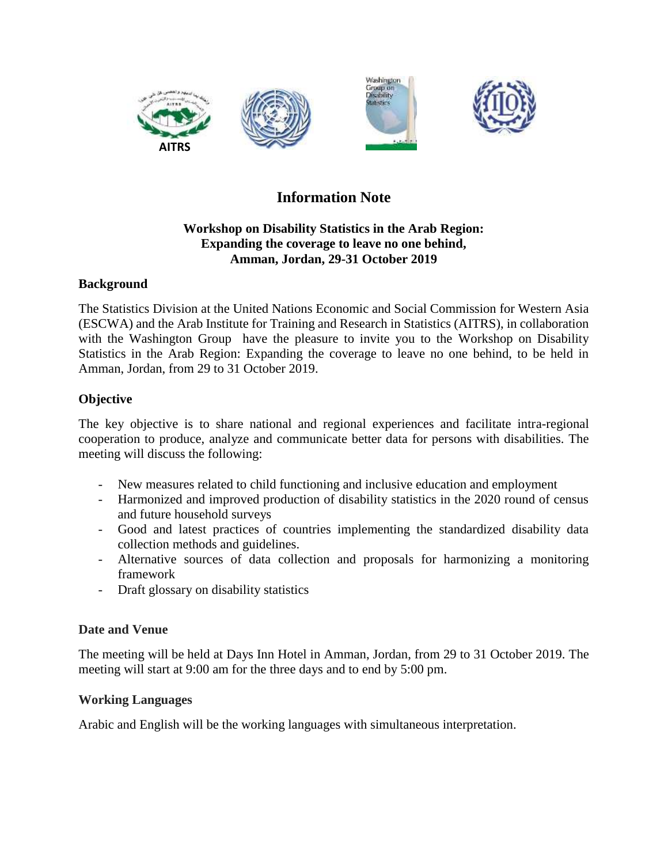

# **Information Note**

# **Workshop on Disability Statistics in the Arab Region: Expanding the coverage to leave no one behind, Amman, Jordan, 29-31 October 2019**

# **Background**

The Statistics Division at the United Nations Economic and Social Commission for Western Asia (ESCWA) and the Arab Institute for Training and Research in Statistics (AITRS), in collaboration with the Washington Group have the pleasure to invite you to the Workshop on Disability Statistics in the Arab Region: Expanding the coverage to leave no one behind, to be held in Amman, Jordan, from 29 to 31 October 2019.

# **Objective**

The key objective is to share national and regional experiences and facilitate intra-regional cooperation to produce, analyze and communicate better data for persons with disabilities. The meeting will discuss the following:

- New measures related to child functioning and inclusive education and employment
- Harmonized and improved production of disability statistics in the 2020 round of census and future household surveys
- Good and latest practices of countries implementing the standardized disability data collection methods and guidelines.
- Alternative sources of data collection and proposals for harmonizing a monitoring framework
- Draft glossary on disability statistics

# **Date and Venue**

The meeting will be held at Days Inn Hotel in Amman, Jordan, from 29 to 31 October 2019. The meeting will start at 9:00 am for the three days and to end by 5:00 pm.

# **Working Languages**

Arabic and English will be the working languages with simultaneous interpretation.